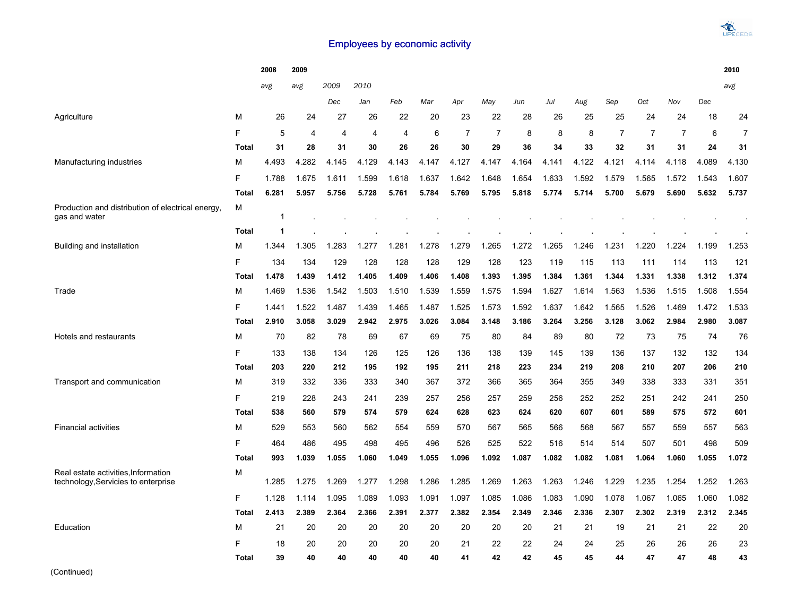## Employees by economic activity

|                                                                    |                   | 2008       | 2009           |                |                |              |              |                |              |              |              |              |              |                |                |              | 2010         |
|--------------------------------------------------------------------|-------------------|------------|----------------|----------------|----------------|--------------|--------------|----------------|--------------|--------------|--------------|--------------|--------------|----------------|----------------|--------------|--------------|
|                                                                    |                   | avg        | avg            | 2009           | 2010           |              |              |                |              |              |              |              |              |                |                |              | avg          |
|                                                                    |                   |            |                | Dec            | Jan            | Feb          | Mar          | Apr            | May          | Jun          | Jul          | Aug          | Sep          | Oct            | Nov            | Dec          |              |
| Agriculture                                                        | M                 | 26         | 24             | 27             | 26             | 22           | 20           | 23             | 22           | 28           | 26           | 25           | 25           | 24             | 24             | 18           | 24           |
|                                                                    | F                 | 5          | $\overline{4}$ | $\overline{4}$ | $\overline{4}$ | 4            | 6            | $\overline{7}$ | 7            | 8            | 8            | 8            | 7            | $\overline{7}$ | $\overline{7}$ | 6            | 7            |
|                                                                    | <b>Total</b>      | 31         | 28             | 31             | 30             | 26           | 26           | 30             | 29           | 36           | 34           | 33           | 32           | 31             | 31             | 24           | 31           |
| Manufacturing industries                                           | М                 | 4.493      | 4.282          | 4.145          | 4.129          | 4.143        | 4.147        | 4.127          | 4.147        | 4.164        | 4.141        | 4.122        | 4.121        | 4.114          | 4.118          | 4.089        | 4.130        |
|                                                                    | F                 | 1.788      | 1.675          | 1.611          | 1.599          | 1.618        | 1.637        | 1.642          | 1.648        | 1.654        | 1.633        | 1.592        | 1.579        | 1.565          | 1.572          | 1.543        | 1.607        |
|                                                                    | <b>Total</b>      | 6.281      | 5.957          | 5.756          | 5.728          | 5.761        | 5.784        | 5.769          | 5.795        | 5.818        | 5.774        | 5.714        | 5.700        | 5.679          | 5.690          | 5.632        | 5.737        |
| Production and distribution of electrical energy.<br>gas and water | М                 | 1          |                |                |                |              |              |                |              |              |              |              |              |                |                |              |              |
|                                                                    | <b>Total</b>      | 1          |                |                |                |              |              |                |              |              |              |              |              |                |                |              |              |
| Building and installation                                          | М                 | 1.344      | 1.305          | 1.283          | 1.277          | 1.281        | 1.278        | 1.279          | 1.265        | .272         | 1.265        | .246         | 1.231        | 1.220          | .224<br>1      | 1.199        | 1.253        |
|                                                                    | F                 | 134        | 134            | 129            | 128            | 128          | 128          | 129            | 128          | 123          | 119          | 115          | 113          | 111            | 114            | 113          | 121          |
|                                                                    | <b>Total</b>      | 1.478      | 1.439          | 1.412          | 1.405          | 1.409        | 1.406        | 1.408          | 1.393        | 1.395        | 1.384        | 1.361        | 1.344        | 1.331          | 1.338          | 1.312        | 1.374        |
| Trade                                                              | M                 | 1.469      | 1.536          | 1.542          | 1.503          | 1.510        | 1.539        | 1.559          | 1.575        | 1.594        | 1.627        | 1.614        | 1.563        | 1.536          | 1.515          | 1.508        | 1.554        |
|                                                                    | F                 | 1.441      | 1.522          | 1.487          | 1.439          | 1.465        | 1.487        | 1.525          | 1.573        | 1.592        | 1.637        | 1.642        | 1.565        | 1.526          | 1.469          | 1.472        | 1.533        |
|                                                                    | Total             | 2.910      | 3.058          | 3.029          | 2.942          | 2.975        | 3.026        | 3.084          | 3.148        | 3.186        | 3.264        | 3.256        | 3.128        | 3.062          | 2.984          | 2.980        | 3.087        |
| Hotels and restaurants                                             | М                 | 70         | 82             | 78             | 69             | 67           | 69           | 75             | 80           | 84           | 89           | 80           | 72           | 73             | 75             | 74           | 76           |
|                                                                    | E                 | 133        | 138            | 134            | 126            | 125          | 126          | 136            | 138          | 139          | 145          | 139          | 136          | 137            | 132            | 132          | 134          |
|                                                                    | Total             | 203        | 220            | 212            | 195            | 192          | 195          | 211            | 218          | 223          | 234          | 219          | 208          | 210            | 207            | 206          | 210          |
| Transport and communication                                        | М                 | 319        | 332            | 336            | 333            | 340          | 367          | 372            | 366          | 365          | 364          | 355          | 349          | 338            | 333            | 331          | 351          |
|                                                                    | F                 | 219        | 228            | 243            | 241            | 239          | 257          | 256            | 257          | 259          | 256          | 252          | 252          | 251            | 242            | 241          | 250          |
|                                                                    | <b>Total</b>      | 538        | 560            | 579            | 574            | 579          | 624          | 628            | 623          | 624          | 620          | 607          | 601          | 589            | 575            | 572          | 601          |
| <b>Financial activities</b>                                        | M                 | 529        | 553            | 560            | 562            | 554          | 559          | 570            | 567          | 565          | 566          | 568          | 567          | 557            | 559            | 557          | 563          |
|                                                                    | F<br><b>Total</b> | 464<br>993 | 486<br>1.039   | 495<br>1.055   | 498            | 495<br>1.049 | 496<br>1.055 | 526<br>1.096   | 525<br>1.092 | 522<br>1.087 | 516<br>1.082 | 514<br>1.082 | 514<br>1.081 | 507            | 501<br>1.060   | 498<br>1.055 | 509<br>1.072 |
| Real estate activities, Information                                | М                 |            |                |                | 1.060          |              |              |                |              |              |              |              |              | 1.064          |                |              |              |
| technology, Servicies to enterprise                                |                   | 1.285      | 1.275          | 1.269          | 1.277          | 1.298        | 1.286        | 1.285          | 1.269        | 1.263        | 1.263        | 1.246        | 1.229        | 1.235          | 1.254          | 1.252        | 1.263        |
|                                                                    | F                 | 1.128      | 1.114          | 1.095          | 1.089          | 1.093        | 1.091        | 1.097          | 1.085        | 1.086        | 1.083        | 1.090        | 1.078        | 1.067          | 1.065          | 1.060        | 1.082        |
|                                                                    | <b>Total</b>      | 2.413      | 2.389          | 2.364          | 2.366          | 2.391        | 2.377        | 2.382          | 2.354        | 2.349        | 2.346        | 2.336        | 2.307        | 2.302          | 2.319          | 2.312        | 2.345        |
| Education                                                          | М                 | 21         | 20             | 20             | 20             | 20           | 20           | 20             | 20           | 20           | 21           | 21           | 19           | 21             | 21             | 22           | 20           |
|                                                                    | F                 | 18         | 20             | 20             | 20             | 20           | 20           | 21             | 22           | 22           | 24           | 24           | 25           | 26             | 26             | 26           | 23           |
|                                                                    | <b>Total</b>      | 39         | 40             | 40             | 40             | 40           | 40           | 41             | 42           | 42           | 45           | 45           | 44           | 47             | 47             | 48           | 43           |

(Continued)